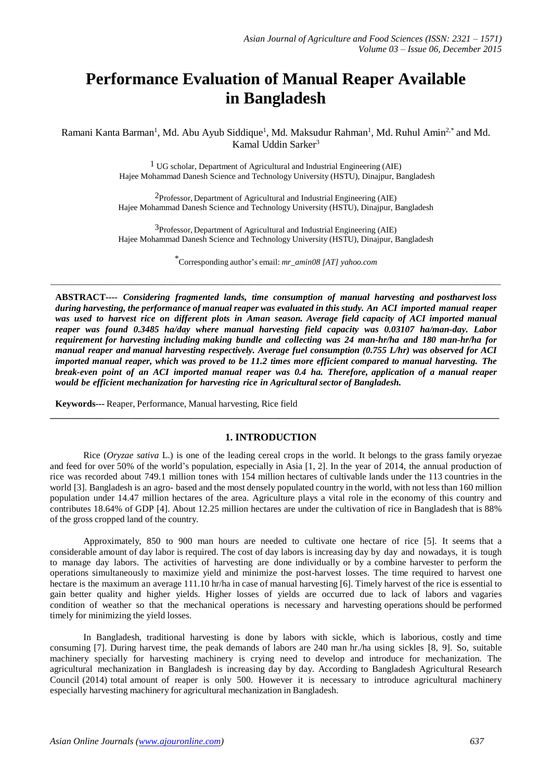# **Performance Evaluation of Manual Reaper Available in Bangladesh**

Ramani Kanta Barman<sup>1</sup>, Md. Abu Ayub Siddique<sup>1</sup>, Md. Maksudur Rahman<sup>1</sup>, Md. Ruhul Amin<sup>2,\*</sup> and Md. Kamal Uddin Sarker<sup>3</sup>

> 1 UG scholar, Department of Agricultural and Industrial Engineering (AIE) Hajee Mohammad Danesh Science and Technology University (HSTU), Dinajpur, Bangladesh

> 2Professor, Department of Agricultural and Industrial Engineering (AIE) Hajee Mohammad Danesh Science and Technology University (HSTU), Dinajpur, Bangladesh

> 3Professor, Department of Agricultural and Industrial Engineering (AIE) Hajee Mohammad Danesh Science and Technology University (HSTU), Dinajpur, Bangladesh

> > \*Corresponding author's email: *mr\_amin08 [AT] yahoo.com*

*\_\_\_\_\_\_\_\_\_\_\_\_\_\_\_\_\_\_\_\_\_\_\_\_\_\_\_\_\_\_\_\_\_\_\_\_\_\_\_\_\_\_\_\_\_\_\_\_\_\_\_\_\_\_\_\_\_\_\_\_\_\_\_\_\_\_\_\_\_\_\_\_\_\_\_\_\_\_\_\_\_\_\_\_\_\_\_\_\_\_\_\_\_\_\_\_\_\_\_\_\_\_\_\_\_\_\_\_*

**ABSTRACT----** *Considering fragmented lands, time consumption of manual harvesting and postharvest loss* during harvesting, the performance of manual reaper was evaluated in this study. An ACI imported manual reaper *was used to harvest rice on different plots in Aman season. Average field capacity of ACI imported manual reaper was found 0.3485 ha/day where manual harvesting field capacity was 0.03107 ha/man-day. Labor requirement for harvesting including making bundle and collecting was 24 man-hr/ha and 180 man-hr/ha for manual reaper and manual harvesting respectively. Average fuel consumption (0.755 L/hr) was observed for ACI imported manual reaper, which was proved to be 11.2 times more efficient compared to manual harvesting. The break-even point of an ACI imported manual reaper was 0.4 ha. Therefore, application of a manual reaper would be efficient mechanization for harvesting rice in Agricultural sector of Bangladesh.*

**Keywords---** Reaper, Performance, Manual harvesting, Rice field

# **1. INTRODUCTION**

**\_\_\_\_\_\_\_\_\_\_\_\_\_\_\_\_\_\_\_\_\_\_\_\_\_\_\_\_\_\_\_\_\_\_\_\_\_\_\_\_\_\_\_\_\_\_\_\_\_\_\_\_\_\_\_\_\_\_\_\_\_\_\_\_\_\_\_\_\_\_\_\_\_\_\_\_\_\_\_\_\_\_\_\_\_\_\_\_\_\_\_\_\_\_\_\_**

Rice (*Oryzae sativa* L.) is one of the leading cereal crops in the world. It belongs to the grass family oryezae and feed for over 50% of the world's population, especially in Asia [1, 2]. In the year of 2014, the annual production of rice was recorded about 749.1 million tones with 154 million hectares of cultivable lands under the 113 countries in the world [3]. Bangladesh is an agro- based and the most densely populated country in the world, with not less than 160 million population under 14.47 million hectares of the area. Agriculture plays a vital role in the economy of this country and contributes 18.64% of GDP [4]. About 12.25 million hectares are under the cultivation of rice in Bangladesh that is 88% of the gross cropped land of the country.

Approximately, 850 to 900 man hours are needed to cultivate one hectare of rice [5]. It seems that a considerable amount of day labor is required. The cost of day labors is increasing day by day and nowadays, it is tough to manage day labors. The activities of harvesting are done individually or by a combine harvester to perform the operations simultaneously to maximize yield and minimize the post-harvest losses. The time required to harvest one hectare is the maximum an average 111.10 hr/ha in case of manual harvesting [6]. Timely harvest of the rice is essential to gain better quality and higher yields. Higher losses of yields are occurred due to lack of labors and vagaries condition of weather so that the mechanical operations is necessary and harvesting operations should be performed timely for minimizing the yield losses.

In Bangladesh, traditional harvesting is done by labors with sickle, which is laborious, costly and time consuming [7]. During harvest time, the peak demands of labors are 240 man hr./ha using sickles [8, 9]. So, suitable machinery specially for harvesting machinery is crying need to develop and introduce for mechanization. The agricultural mechanization in Bangladesh is increasing day by day. According to Bangladesh Agricultural Research Council (2014) total amount of reaper is only 500. However it is necessary to introduce agricultural machinery especially harvesting machinery for agricultural mechanization in Bangladesh.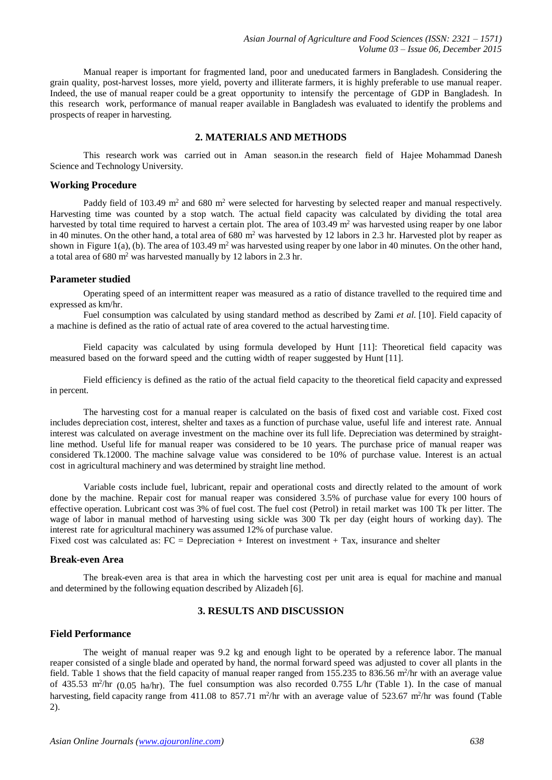Manual reaper is important for fragmented land, poor and uneducated farmers in Bangladesh. Considering the grain quality, post-harvest losses, more yield, poverty and illiterate farmers, it is highly preferable to use manual reaper. Indeed, the use of manual reaper could be a great opportunity to intensify the percentage of GDP in Bangladesh. In this research work, performance of manual reaper available in Bangladesh was evaluated to identify the problems and prospects of reaper in harvesting.

# **2. MATERIALS AND METHODS**

This research work was carried out in Aman season.in the research field of Hajee Mohammad Danesh Science and Technology University.

#### **Working Procedure**

Paddy field of 103.49  $m<sup>2</sup>$  and 680 m<sup>2</sup> were selected for harvesting by selected reaper and manual respectively. Harvesting time was counted by a stop watch. The actual field capacity was calculated by dividing the total area harvested by total time required to harvest a certain plot. The area of  $103.49 \text{ m}^2$  was harvested using reaper by one labor in 40 minutes. On the other hand, a total area of 680 m<sup>2</sup> was harvested by 12 labors in 2.3 hr. Harvested plot by reaper as shown in Figure 1(a), (b). The area of 103.49 m<sup>2</sup> was harvested using reaper by one labor in 40 minutes. On the other hand, a total area of  $680 \text{ m}^2$  was harvested manually by 12 labors in 2.3 hr.

## **Parameter studied**

Operating speed of an intermittent reaper was measured as a ratio of distance travelled to the required time and expressed as km/hr.

Fuel consumption was calculated by using standard method as described by Zami *et al.* [10]. Field capacity of a machine is defined as the ratio of actual rate of area covered to the actual harvesting time.

Field capacity was calculated by using formula developed by Hunt [11]: Theoretical field capacity was measured based on the forward speed and the cutting width of reaper suggested by Hunt [11].

Field efficiency is defined as the ratio of the actual field capacity to the theoretical field capacity and expressed in percent.

The harvesting cost for a manual reaper is calculated on the basis of fixed cost and variable cost. Fixed cost includes depreciation cost, interest, shelter and taxes as a function of purchase value, useful life and interest rate. Annual interest was calculated on average investment on the machine over its full life. Depreciation was determined by straightline method. Useful life for manual reaper was considered to be 10 years. The purchase price of manual reaper was considered Tk.12000. The machine salvage value was considered to be 10% of purchase value. Interest is an actual cost in agricultural machinery and was determined by straight line method.

Variable costs include fuel, lubricant, repair and operational costs and directly related to the amount of work done by the machine. Repair cost for manual reaper was considered 3.5% of purchase value for every 100 hours of effective operation. Lubricant cost was 3% of fuel cost. The fuel cost (Petrol) in retail market was 100 Tk per litter. The wage of labor in manual method of harvesting using sickle was 300 Tk per day (eight hours of working day). The interest rate for agricultural machinery was assumed 12% of purchase value.

Fixed cost was calculated as: FC = Depreciation + Interest on investment + Tax, insurance and shelter

# **Break-even Area**

The break-even area is that area in which the harvesting cost per unit area is equal for machine and manual and determined by the following equation described by Alizadeh [6].

#### **3. RESULTS AND DISCUSSION**

#### **Field Performance**

The weight of manual reaper was 9.2 kg and enough light to be operated by a reference labor. The manual reaper consisted of a single blade and operated by hand, the normal forward speed was adjusted to cover all plants in the field. Table 1 shows that the field capacity of manual reaper ranged from 155.235 to 836.56 m<sup>2</sup>/hr with an average value of 435.53 m<sup>2</sup>/hr (0.05 ha/hr). The fuel consumption was also recorded 0.755 L/hr (Table 1). In the case of manual harvesting, field capacity range from 411.08 to 857.71 m<sup>2</sup>/hr with an average value of 523.67 m<sup>2</sup>/hr was found (Table 2).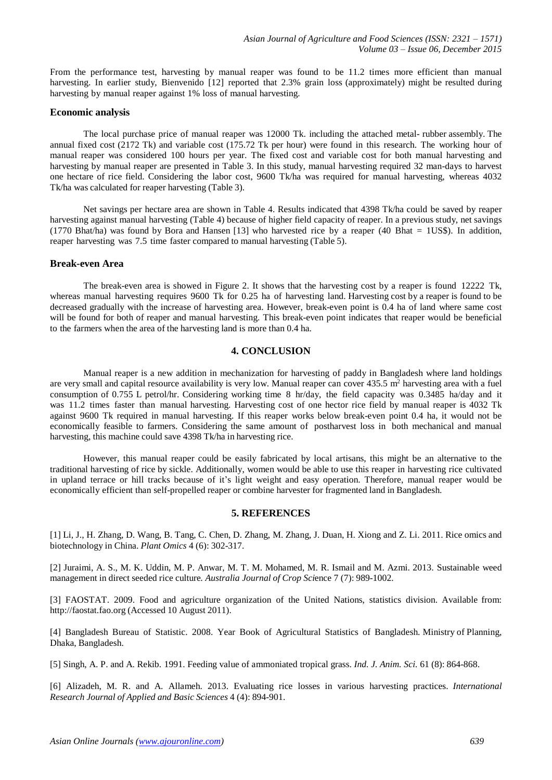From the performance test, harvesting by manual reaper was found to be 11.2 times more efficient than manual harvesting. In earlier study, Bienvenido [12] reported that 2.3% grain loss (approximately) might be resulted during harvesting by manual reaper against 1% loss of manual harvesting.

## **Economic analysis**

The local purchase price of manual reaper was 12000 Tk. including the attached metal- rubber assembly. The annual fixed cost (2172 Tk) and variable cost (175.72 Tk per hour) were found in this research. The working hour of manual reaper was considered 100 hours per year. The fixed cost and variable cost for both manual harvesting and harvesting by manual reaper are presented in Table 3. In this study, manual harvesting required 32 man-days to harvest one hectare of rice field. Considering the labor cost, 9600 Tk/ha was required for manual harvesting, whereas 4032 Tk/ha was calculated for reaper harvesting (Table 3).

Net savings per hectare area are shown in Table 4. Results indicated that 4398 Tk/ha could be saved by reaper harvesting against manual harvesting (Table 4) because of higher field capacity of reaper. In a previous study, net savings (1770 Bhat/ha) was found by Bora and Hansen [13] who harvested rice by a reaper (40 Bhat = 1US\$). In addition, reaper harvesting was 7.5 time faster compared to manual harvesting (Table 5).

#### **Break-even Area**

The break-even area is showed in Figure 2. It shows that the harvesting cost by a reaper is found 12222 Tk, whereas manual harvesting requires 9600 Tk for 0.25 ha of harvesting land. Harvesting cost by a reaper is found to be decreased gradually with the increase of harvesting area. However, break-even point is 0.4 ha of land where same cost will be found for both of reaper and manual harvesting. This break-even point indicates that reaper would be beneficial to the farmers when the area of the harvesting land is more than 0.4 ha.

# **4. CONCLUSION**

Manual reaper is a new addition in mechanization for harvesting of paddy in Bangladesh where land holdings are very small and capital resource availability is very low. Manual reaper can cover  $435.5 \text{ m}^2$  harvesting area with a fuel consumption of 0.755 L petrol/hr. Considering working time 8 hr/day, the field capacity was 0.3485 ha/day and it was 11.2 times faster than manual harvesting. Harvesting cost of one hector rice field by manual reaper is 4032 Tk against 9600 Tk required in manual harvesting. If this reaper works below break-even point 0.4 ha, it would not be economically feasible to farmers. Considering the same amount of postharvest loss in both mechanical and manual harvesting, this machine could save 4398 Tk/ha in harvesting rice.

However, this manual reaper could be easily fabricated by local artisans, this might be an alternative to the traditional harvesting of rice by sickle. Additionally, women would be able to use this reaper in harvesting rice cultivated in upland terrace or hill tracks because of it's light weight and easy operation. Therefore, manual reaper would be economically efficient than self-propelled reaper or combine harvester for fragmented land in Bangladesh.

# **5. REFERENCES**

[1] Li, J., H. Zhang, D. Wang, B. Tang, C. Chen, D. Zhang, M. Zhang, J. Duan, H. Xiong and Z. Li. 2011. Rice omics and biotechnology in China. *Plant Omics* 4 (6): 302-317.

[2] Juraimi, A. S., M. K. Uddin, M. P. Anwar, M. T. M. Mohamed, M. R. Ismail and M. Azmi. 2013. Sustainable weed management in direct seeded rice culture*. Australia Journal of Crop Sci*ence 7 (7): 989-1002.

[3] FAOSTAT. 2009. Food and agriculture organization of the United Nations, statistics division. Available from: http://faostat.fao.org (Accessed 10 August 2011).

[4] Bangladesh Bureau of Statistic. 2008. Year Book of Agricultural Statistics of Bangladesh. Ministry of Planning, Dhaka, Bangladesh.

[5] Singh, A. P. and A. Rekib. 1991. Feeding value of ammoniated tropical grass. *Ind. J. Anim. Sci.* 61 (8): 864-868.

[6] Alizadeh, M. R. and A. Allameh. 2013. Evaluating rice losses in various harvesting practices. *International Research Journal of Applied and Basic Sciences* 4 (4): 894-901.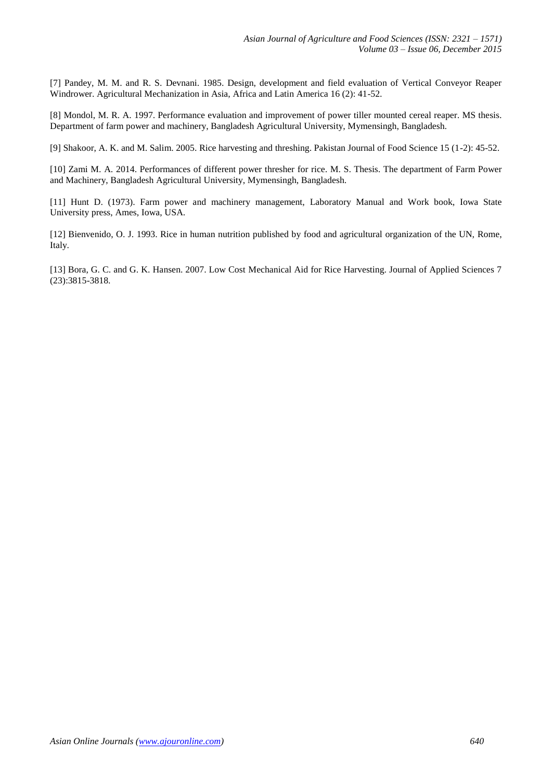[7] Pandey, M. M. and R. S. Devnani. 1985. Design, development and field evaluation of Vertical Conveyor Reaper Windrower. Agricultural Mechanization in Asia, Africa and Latin America 16 (2): 41-52.

[8] Mondol, M. R. A. 1997. Performance evaluation and improvement of power tiller mounted cereal reaper. MS thesis. Department of farm power and machinery, Bangladesh Agricultural University, Mymensingh, Bangladesh.

[9] Shakoor, A. K. and M. Salim. 2005. Rice harvesting and threshing. Pakistan Journal of Food Science 15 (1-2): 45-52.

[10] Zami M. A. 2014. Performances of different power thresher for rice. M. S. Thesis. The department of Farm Power and Machinery, Bangladesh Agricultural University, Mymensingh, Bangladesh.

[11] Hunt D. (1973). Farm power and machinery management, Laboratory Manual and Work book, Iowa State University press, Ames, Iowa, USA.

[12] Bienvenido, O. J. 1993. Rice in human nutrition published by food and agricultural organization of the UN, Rome, Italy.

[13] Bora, G. C. and G. K. Hansen. 2007. Low Cost Mechanical Aid for Rice Harvesting. Journal of Applied Sciences 7 (23):3815-3818.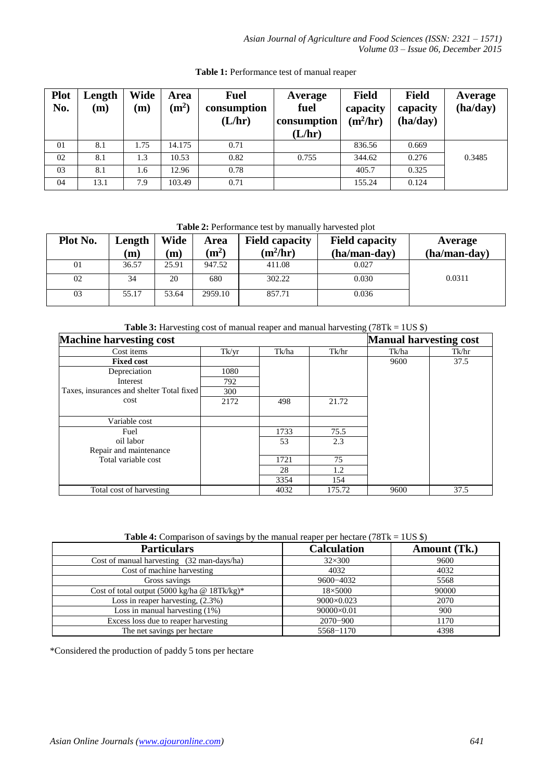| <b>Plot</b><br>No. | Length<br>(m) | Wide<br>$\mathbf{m}$ | Area<br>(m <sup>2</sup> ) | <b>Fuel</b><br>consumption<br>(L/hr) | Average<br>fuel<br>consumption<br>(L/hr) | <b>Field</b><br>capacity<br>$(m^2/hr)$ | <b>Field</b><br>capacity<br>(ha/day) | Average<br>(ha/day) |
|--------------------|---------------|----------------------|---------------------------|--------------------------------------|------------------------------------------|----------------------------------------|--------------------------------------|---------------------|
| 01                 | 8.1           | 1.75                 | 14.175                    | 0.71                                 |                                          | 836.56                                 | 0.669                                |                     |
| 02                 | 8.1           | 1.3                  | 10.53                     | 0.82                                 | 0.755                                    | 344.62                                 | 0.276                                | 0.3485              |
| 03                 | 8.1           | 1.6                  | 12.96                     | 0.78                                 |                                          | 405.7                                  | 0.325                                |                     |
| 04                 | 13.1          | 7.9                  | 103.49                    | 0.71                                 |                                          | 155.24                                 | 0.124                                |                     |

**Table 1:** Performance test of manual reaper

**Table 2:** Performance test by manually harvested plot

| Plot No. | Length<br>m) | Wide<br>(m) | Area<br>$\rm (m^2)$ | <b>Field capacity</b><br>$(m^2/hr)$ | <b>Field capacity</b><br>(ha/man-day) | Average<br>(ha/man-day) |
|----------|--------------|-------------|---------------------|-------------------------------------|---------------------------------------|-------------------------|
| 01       | 36.57        | 25.91       | 947.52              | 411.08                              | 0.027                                 |                         |
| 02       | 34           | 20          | 680                 | 302.22                              | 0.030                                 | 0.0311                  |
| 03       | 55.17        | 53.64       | 2959.10             | 857.71                              | 0.036                                 |                         |

**Table 3:** Harvesting cost of manual reaper and manual harvesting (78Tk = 1US \$)

| <b>Machine harvesting cost</b>            | <b>Manual harvesting cost</b> |       |        |       |       |
|-------------------------------------------|-------------------------------|-------|--------|-------|-------|
| Cost items                                | Tk/yr                         | Tk/ha | Tk/hr  | Tk/ha | Tk/hr |
| <b>Fixed cost</b>                         |                               |       |        | 9600  | 37.5  |
| Depreciation                              | 1080                          |       |        |       |       |
| Interest                                  | 792                           |       |        |       |       |
| Taxes, insurances and shelter Total fixed | 300                           |       |        |       |       |
| cost                                      | 2172                          | 498   | 21.72  |       |       |
|                                           |                               |       |        |       |       |
| Variable cost                             |                               |       |        |       |       |
| Fuel                                      |                               | 1733  | 75.5   |       |       |
| oil labor                                 |                               | 53    | 2.3    |       |       |
| Repair and maintenance                    |                               |       |        |       |       |
| Total variable cost                       |                               | 1721  | 75     |       |       |
|                                           |                               | 28    | 1.2    |       |       |
|                                           |                               | 3354  | 154    |       |       |
| Total cost of harvesting                  |                               | 4032  | 175.72 | 9600  | 37.5  |

**Table 4:** Comparison of savings by the manual reaper per hectare (78Tk = 1US \$)

| <b>Particulars</b>                           | <b>Calculation</b> | Amount (Tk.) |
|----------------------------------------------|--------------------|--------------|
| Cost of manual harvesting (32 man-days/ha)   | $32\times300$      | 9600         |
| Cost of machine harvesting                   | 4032               | 4032         |
| Gross savings                                | $9600 - 4032$      | 5568         |
| Cost of total output (5000 kg/ha @ 18Tk/kg)* | $18\times 5000$    | 90000        |
| Loss in reaper harvesting, $(2.3\%)$         | 9000×0.023         | 2070         |
| Loss in manual harvesting $(1\%)$            | 90000×0.01         | 900          |
| Excess loss due to reaper harvesting         | $2070 - 900$       | 1170         |
| The net savings per hectare                  | 5568-1170          | 4398         |

\*Considered the production of paddy 5 tons per hectare